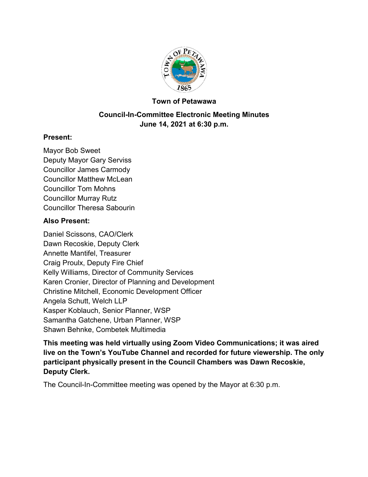

#### **Town of Petawawa**

### **Council-In-Committee Electronic Meeting Minutes June 14, 2021 at 6:30 p.m.**

#### **Present:**

Mayor Bob Sweet Deputy Mayor Gary Serviss Councillor James Carmody Councillor Matthew McLean Councillor Tom Mohns Councillor Murray Rutz Councillor Theresa Sabourin

#### **Also Present:**

Daniel Scissons, CAO/Clerk Dawn Recoskie, Deputy Clerk Annette Mantifel, Treasurer Craig Proulx, Deputy Fire Chief Kelly Williams, Director of Community Services Karen Cronier, Director of Planning and Development Christine Mitchell, Economic Development Officer Angela Schutt, Welch LLP Kasper Koblauch, Senior Planner, WSP Samantha Gatchene, Urban Planner, WSP Shawn Behnke, Combetek Multimedia

**This meeting was held virtually using Zoom Video Communications; it was aired live on the Town's YouTube Channel and recorded for future viewership. The only participant physically present in the Council Chambers was Dawn Recoskie, Deputy Clerk.**

The Council-In-Committee meeting was opened by the Mayor at 6:30 p.m.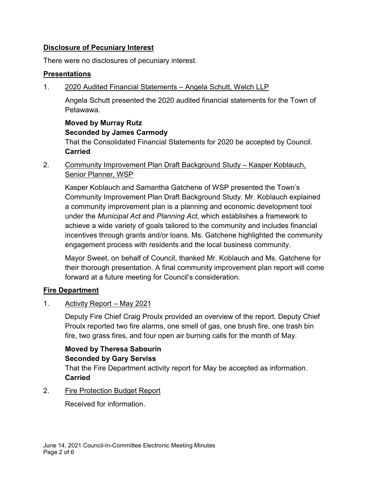### **Disclosure of Pecuniary Interest**

There were no disclosures of pecuniary interest.

#### **Presentations**

1. 2020 Audited Financial Statements – Angela Schutt, Welch LLP

Angela Schutt presented the 2020 audited financial statements for the Town of Petawawa.

#### **Moved by Murray Rutz Seconded by James Carmody**

That the Consolidated Financial Statements for 2020 be accepted by Council. **Carried**

2. Community Improvement Plan Draft Background Study – Kasper Koblauch, **Senior Planner, WSP** 

Kasper Koblauch and Samantha Gatchene of WSP presented the Town's Community Improvement Plan Draft Background Study. Mr. Koblauch explained a community improvement plan is a planning and economic development tool under the *Municipal Act* and *Planning Act*, which establishes a framework to achieve a wide variety of goals tailored to the community and includes financial incentives through grants and/or loans. Ms. Gatchene highlighted the community engagement process with residents and the local business community.

Mayor Sweet, on behalf of Council, thanked Mr. Koblauch and Ms. Gatchene for their thorough presentation. A final community improvement plan report will come forward at a future meeting for Council's consideration.

#### **Fire Department**

1. Activity Report – May 2021

Deputy Fire Chief Craig Proulx provided an overview of the report. Deputy Chief Proulx reported two fire alarms, one smell of gas, one brush fire, one trash bin fire, two grass fires, and four open air burning calls for the month of May.

## **Moved by Theresa Sabourin Seconded by Gary Serviss**

That the Fire Department activity report for May be accepted as information. **Carried**

2. Fire Protection Budget Report

Received for information.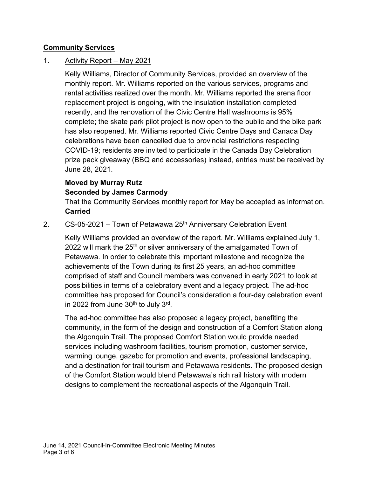#### **Community Services**

### 1. Activity Report – May 2021

Kelly Williams, Director of Community Services, provided an overview of the monthly report. Mr. Williams reported on the various services, programs and rental activities realized over the month. Mr. Williams reported the arena floor replacement project is ongoing, with the insulation installation completed recently, and the renovation of the Civic Centre Hall washrooms is 95% complete; the skate park pilot project is now open to the public and the bike park has also reopened. Mr. Williams reported Civic Centre Days and Canada Day celebrations have been cancelled due to provincial restrictions respecting COVID-19; residents are invited to participate in the Canada Day Celebration prize pack giveaway (BBQ and accessories) instead, entries must be received by June 28, 2021.

## **Moved by Murray Rutz Seconded by James Carmody**

That the Community Services monthly report for May be accepted as information. **Carried**

#### 2.  $CS-05-2021$  – Town of Petawawa 25<sup>th</sup> Anniversary Celebration Event

Kelly Williams provided an overview of the report. Mr. Williams explained July 1, 2022 will mark the 25<sup>th</sup> or silver anniversary of the amalgamated Town of Petawawa. In order to celebrate this important milestone and recognize the achievements of the Town during its first 25 years, an ad-hoc committee comprised of staff and Council members was convened in early 2021 to look at possibilities in terms of a celebratory event and a legacy project. The ad-hoc committee has proposed for Council's consideration a four-day celebration event in 2022 from June  $30^{\text{th}}$  to July  $3^{\text{rd}}$ .

The ad-hoc committee has also proposed a legacy project, benefiting the community, in the form of the design and construction of a Comfort Station along the Algonquin Trail. The proposed Comfort Station would provide needed services including washroom facilities, tourism promotion, customer service, warming lounge, gazebo for promotion and events, professional landscaping, and a destination for trail tourism and Petawawa residents. The proposed design of the Comfort Station would blend Petawawa's rich rail history with modern designs to complement the recreational aspects of the Algonquin Trail.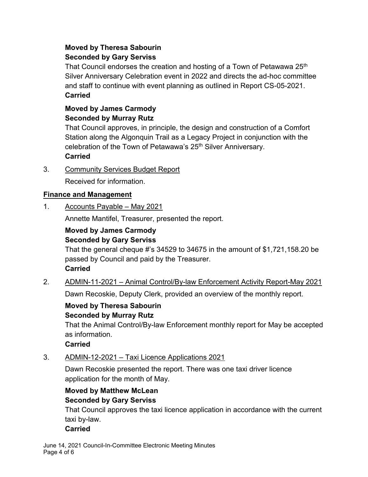## **Moved by Theresa Sabourin Seconded by Gary Serviss**

That Council endorses the creation and hosting of a Town of Petawawa 25<sup>th</sup> Silver Anniversary Celebration event in 2022 and directs the ad-hoc committee and staff to continue with event planning as outlined in Report CS-05-2021. **Carried**

### **Moved by James Carmody Seconded by Murray Rutz**

That Council approves, in principle, the design and construction of a Comfort Station along the Algonquin Trail as a Legacy Project in conjunction with the celebration of the Town of Petawawa's 25<sup>th</sup> Silver Anniversary.

## **Carried**

3. Community Services Budget Report

Received for information.

## **Finance and Management**

1. Accounts Payable – May 2021

Annette Mantifel, Treasurer, presented the report.

#### **Moved by James Carmody Seconded by Gary Serviss**

That the general cheque #'s 34529 to 34675 in the amount of \$1,721,158.20 be passed by Council and paid by the Treasurer. **Carried**

2. ADMIN-11-2021 – Animal Control/By-law Enforcement Activity Report-May 2021

Dawn Recoskie, Deputy Clerk, provided an overview of the monthly report.

# **Moved by Theresa Sabourin Seconded by Murray Rutz**

That the Animal Control/By-law Enforcement monthly report for May be accepted as information.

## **Carried**

3. ADMIN-12-2021 – Taxi Licence Applications 2021

Dawn Recoskie presented the report. There was one taxi driver licence application for the month of May.

# **Moved by Matthew McLean Seconded by Gary Serviss**

That Council approves the taxi licence application in accordance with the current taxi by-law.

## **Carried**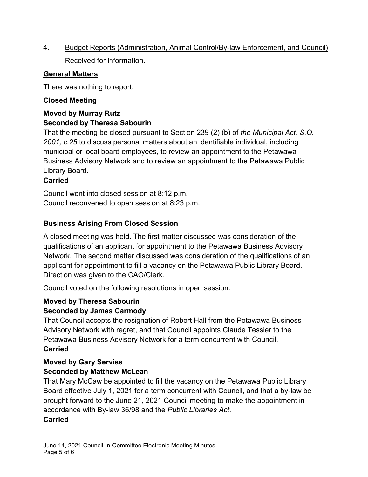4. Budget Reports (Administration, Animal Control/By-law Enforcement, and Council) Received for information.

### **General Matters**

There was nothing to report.

## **Closed Meeting**

#### **Moved by Murray Rutz Seconded by Theresa Sabourin**

That the meeting be closed pursuant to Section 239 (2) (b) of *the Municipal Act, S.O. 2001, c.25* to discuss personal matters about an identifiable individual, including municipal or local board employees, to review an appointment to the Petawawa Business Advisory Network and to review an appointment to the Petawawa Public Library Board.

### **Carried**

Council went into closed session at 8:12 p.m. Council reconvened to open session at 8:23 p.m.

## **Business Arising From Closed Session**

A closed meeting was held. The first matter discussed was consideration of the qualifications of an applicant for appointment to the Petawawa Business Advisory Network. The second matter discussed was consideration of the qualifications of an applicant for appointment to fill a vacancy on the Petawawa Public Library Board. Direction was given to the CAO/Clerk.

Council voted on the following resolutions in open session:

### **Moved by Theresa Sabourin Seconded by James Carmody**

That Council accepts the resignation of Robert Hall from the Petawawa Business Advisory Network with regret, and that Council appoints Claude Tessier to the Petawawa Business Advisory Network for a term concurrent with Council. **Carried**

### **Moved by Gary Serviss Seconded by Matthew McLean**

That Mary McCaw be appointed to fill the vacancy on the Petawawa Public Library Board effective July 1, 2021 for a term concurrent with Council, and that a by-law be brought forward to the June 21, 2021 Council meeting to make the appointment in accordance with By-law 36/98 and the *Public Libraries Act*. **Carried**